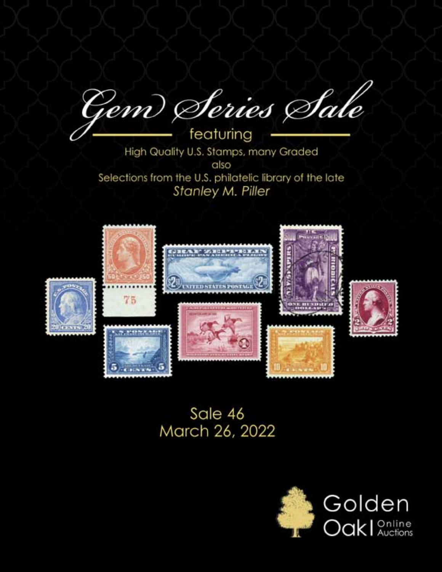Gem Series Sale

featuring High Quality U.S. Stamps, many Graded also Selections from the U.S. philatelic library of the late **Stanley M. Piller** 



# Sale 46 March 26, 2022

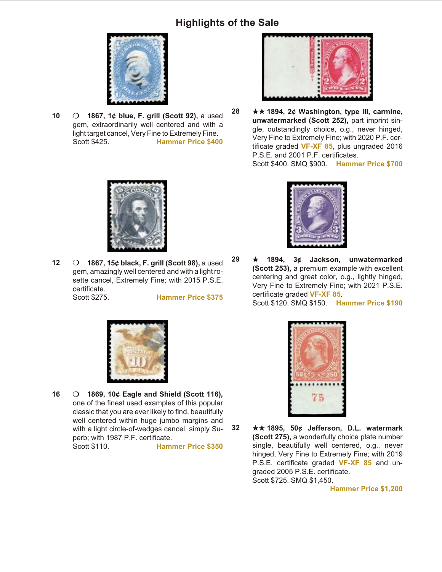

**10** O **1867, 1¢ blue, F. grill (Scott 92), a used** gem, extraordinarily well centered and with a light target cancel, Very Fine to Extremely Fine. Scott \$425. **Hammer Price \$400**



**28** ★★ 1894, 2¢ Washington, type III, carmine, unwatermarked (Scott 252), part imprint single, outstandingly choice, o.g., never hinged, Very Fine to Extremely Fine; with 2020 P.F. certificate graded **VF-XF 85**, plus ungraded 2016 P.S.E. and 2001 P.F. certificates. Scott \$400. SMQ \$900. **Hammer Price \$700**



**12** m **1867, 15¢ black, F. grill (Scott 98),** a used gem, amazingly well centered and with a light rosette cancel, Extremely Fine; with 2015 P.S.E. certificate. Scott \$275. **Hammer Price \$375**



**29 ★ 1894, 3¢ Jackson, unwatermarked (Scott 253), a premium example with excellent** centering and great color, o.g., lightly hinged, Very Fine to Extremely Fine; with 2021 P.S.E. certificate graded VF-XF 85.





16 **0 1869, 10¢ Eagle and Shield (Scott 116)**, one of the finest used examples of this popular classic that you are ever likely to find, beautifully well centered within huge jumbo margins and with a light circle-of-wedges cancel, simply Superb; with 1987 P.F. certificate.

Scott \$110. **Hammer Price \$350**



**32** ★★ 1895, 50¢ Jefferson, D.L. watermark **(Scott 275), a wonderfully choice plate number** single, beautifully well centered, o.g., never hinged, Very Fine to Extremely Fine; with 2019 P.S.E. certificate graded VF-XF 85 and ungraded 2005 P.S.E. certificate. Scott \$725. SMQ \$1,450.

**Hammer Price \$1,200**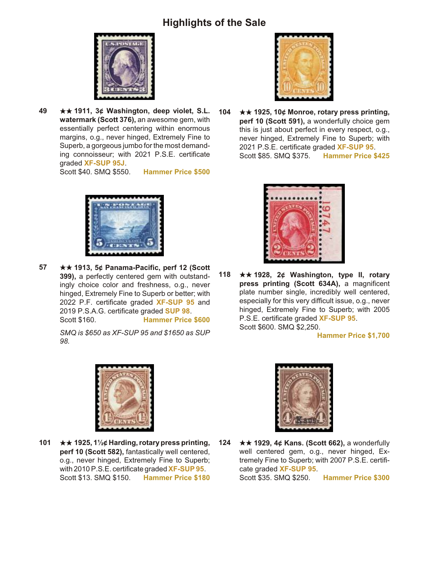

**49** ★★ 1911, 3¢ Washington, deep violet, S.L. **watermark (Scott 376), an awe some gem, with** essentially perfect centering within enormous margins, o.g., never hinged, Extremely Fine to Superb, a gorgeous jumbo for the most demanding connoisseur; with 2021 P.S.E. certificate graded **XF-SUP 95J**.

Scott \$40. SMQ \$550. **Hammer Price \$500**



**57** ★★ 1913, 5¢ Panama-Pacific, perf 12 (Scott **399), a perfectly centered gem with outstand**ingly choice color and freshness, o.g., never hinged, Extremely Fine to Superb or better; with 2022 P.F. certificate graded **XF-SUP 95** and 2019 P.S.A.G. certificate graded **SUP 98**. Scott \$160. **Hammer Price \$600**

> *SMQ is \$650 as XF-SUP 95 and \$1650 as SUP 98.*



**104** ★★ 1925, 10¢ Monroe, rotary press printing, perf 10 (Scott 591), a wonderfully choice gem this is just about perfect in every respect, o.g., never hinged, Extremely Fine to Superb; with 2021 P.S.E. certificate graded **XF-SUP 95**. Scott \$85. SMQ \$375. **Hammer Price \$425**



**118** ★★ 1928, 2¢ Washington, type II, rotary **press printing (Scott 634A), a magnificent** plate number single, incredibly well centered, especially for this very difficult issue, o.g., never hinged, Extremely Fine to Superb; with 2005 P.S.E. certificate graded **XF-SUP 95**. Scott \$600. SMQ \$2,250.

**Hammer Price \$1,700**



**101 ★★ 1925, 1½¢ Harding, rotary press printing,** perf 10 (Scott 582), fantastically well centered, o.g., never hinged, Extremely Fine to Superb; with 2010 P.S.E. certificate graded **XF-SUP 95**. Scott \$13. SMQ \$150. **Hammer Price \$180**



**124** ★★ 1929, 4¢ Kans. (Scott 662), a wonderfully well centered gem, o.g., never hinged, Extremely Fine to Superb; with 2007 P.S.E. certificate graded **XF-SUP 95**. Scott \$35. SMQ \$250. **Hammer Price \$300**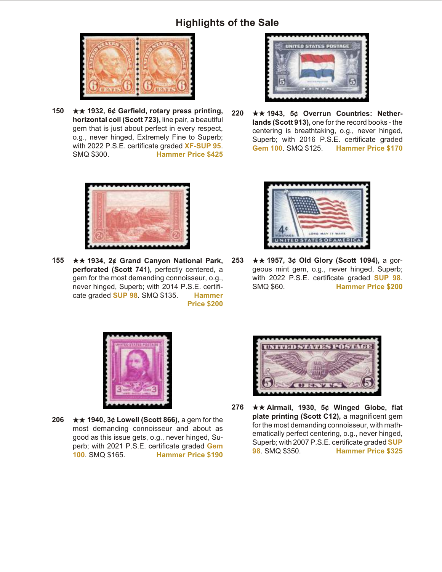

**150** ★★ 1932, 6¢ Garfield, rotary press printing, **horizontal coil (Scott 723), line pair, a beautiful** gem that is just about perfect in every respect, o.g., never hinged, Extremely Fine to Superb; with 2022 P.S.E. certificate graded **XF-SUP 95**. SMQ \$300. **Hammer Price \$425**



**155** ★★ 1934, 2¢ Grand Canyon National Park, perforated (Scott 741), perfectly centered, a gem for the most demanding connoisseur, o.g., never hinged, Superb; with 2014 P.S.E. certificate graded **SUP 98**. SMQ \$135. **Hammer Price \$200**



**220** ★★ 1943, 5¢ Overrun Countries: Netherlands (Scott 913), one for the record books - the centering is breathtaking, o.g., never hinged, Superb; with 2016 P.S.E. certificate graded **Gem 100**. SMQ \$125. **Hammer Price \$170**



**253** ★★ 1957, 3¢ Old Glory (Scott 1094), a gorgeous mint gem, o.g., never hinged, Superb; with 2022 P.S.E. certificate graded **SUP 98**. SMQ \$60. **Hammer Price \$200**



**206** ★★ 1940, 3¢ Lowell (Scott 866), a gem for the most demanding connoisseur and about as good as this issue gets, o.g., never hinged, Superb; with 2021 P.S.E. certificate graded Gem **100**. SMQ \$165. **Hammer Price \$190**



276 **★★ Airmail, 1930, 5¢ Winged Globe, flat** plate printing (Scott C12), a magnificent gem for the most demanding connoisseur, with mathematically perfect centering, o.g., never hinged, Superb; with 2007 P.S.E. certificate graded **SUP 98**. SMQ \$350. **Hammer Price \$325**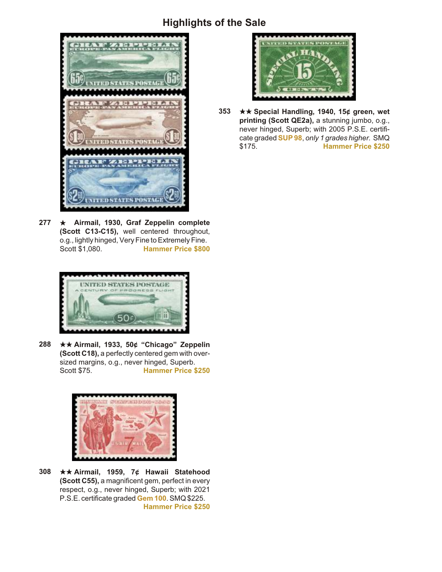

277 ★ Airmail, 1930, Graf Zeppelin complete (Scott C13-C15), well centered throughout, o.g., lightly hinged, Very Fine to Extremely Fine. Scott \$1,080. **Hammer Price \$800**



**288** ★★ Airmail, 1933, 50¢ "Chicago" Zeppelin **(Scott C18), a perfectly centered gem with over**sized margins, o.g., never hinged, Superb.<br>Scott \$75. **Hammer Price \$ Hammer Price \$250** 



308 **★★ Airmail, 1959, 7¢ Hawaii Statehood (Scott C55), a magnificent gem, perfect in every** respect, o.g., never hinged, Superb; with 2021 P.S.E. certificate graded **Gem 100**. SMQ \$225. **Hammer Price \$250**



**353** ★★ Special Handling, 1940, 15¢ green, wet printing (Scott QE2a), a stunning jumbo, o.g., never hinged, Superb; with 2005 P.S.E. certificate graded **SUP 98**, *only 1 grades higher.* SMQ \$175. **Hammer Price \$250**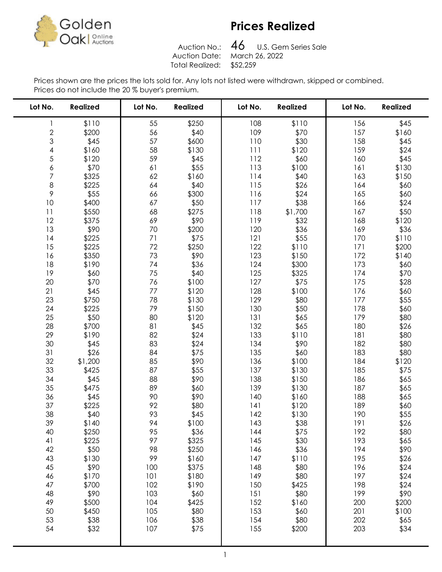

## Prices Realized

Auction No.: Total Realized: \$52,259

 U.S. Gem Series Sale Auction Date: March 26, 2022

Prices shown are the prices the lots sold for. Any lots not listed were withdrawn, skipped or combined. Prices do not include the 20 % buyer's premium.

| Lot No.       | <b>Realized</b> | Lot No.    | <b>Realized</b> | Lot No.    | <b>Realized</b> | Lot No.    | <b>Realized</b> |
|---------------|-----------------|------------|-----------------|------------|-----------------|------------|-----------------|
| 1             | \$110           | 55         | \$250           | 108        | \$110           | 156        | \$45            |
|               | \$200           | 56         | \$40            | 109        | \$70            | 157        | \$160           |
| $\frac{2}{3}$ | \$45            | 57         | \$600           | 110        | \$30            | 158        | \$45            |
| 4             | \$160           | 58         | \$130           | 111        | \$120           | 159        | \$24            |
| 5             | \$120           | 59         | \$45            | 112        | \$60            | 160        | \$45            |
| 6             | \$70            | 61         | \$55            | 113        | \$100           | 161        | \$130           |
| 7             | \$325           | 62         | \$160           | 114        | \$40            | 163        | \$150           |
| 8             | \$225           | 64         | \$40            | 115        | \$26            | 164        | \$60            |
| 9             | \$55            | 66         | \$300           | 116        | \$24            | 165        | \$60            |
| 10            | \$400           | 67         | \$50            | 117        | \$38            | 166        | \$24            |
| 11            | \$550           | 68         | \$275           | 118        | \$1,700         | 167        | \$50            |
| 12            | \$375           | 69         | \$90            | 119        | \$32            | 168        | \$120           |
| 13            | \$90            | 70         | \$200           | 120        | \$36            | 169        | \$36            |
| 14            | \$225           | 71         | \$75            | 121        | \$55            | 170        | \$110           |
| 15            | \$225           | 72         | \$250           | 122        | \$110           | 171        | \$200           |
| 16            | \$350           | 73         | \$90            | 123        | \$150           | 172        | \$140           |
| 18            | \$190           | 74         | \$36            | 124        | \$300           | 173        | \$60            |
| 19            | \$60            | 75         | \$40            | 125        | \$325           | 174        | \$70            |
| 20            | \$70            | 76         | \$100           | 127        | \$75            | 175        | \$28            |
| 21            | \$45            | 77         | \$120           | 128        | \$100           | 176        | \$60            |
| 23            | \$750           | 78         | \$130           | 129        | \$80            | 177        | \$55            |
| 24            | \$225           | 79         | \$150           | 130        | \$50            | 178        | \$60            |
| 25            | \$50            | 80         | \$120           | 131        | \$65            | 179        | \$80            |
| 28            | \$700           | 81         | \$45            | 132        | \$65            | 180        | \$26            |
| 29            | \$190           | 82         | \$24            | 133        | \$110           | 181        | \$80            |
| 30            | \$45            | 83         | \$24            | 134        | \$90            | 182        | \$80            |
| 31            | \$26            | 84         | \$75            | 135        | \$60            | 183        | \$80            |
| 32            | \$1,200         | 85         | \$90            | 136        | \$100           | 184        | \$120           |
| 33            | \$425           | 87         | \$55            | 137        | \$130           | 185        | \$75            |
| 34            | \$45            | 88         | \$90            | 138        | \$150           | 186        | \$65            |
| 35            | \$475           | 89         | \$60            | 139        | \$130           | 187        | \$65            |
| 36            | \$45            | 90         | \$90            | 140        | \$160           | 188        | \$65            |
| 37            | \$225           | 92         | \$80            | 141        | \$120           | 189        | \$60            |
| 38            | \$40            | 93         | \$45            | 142        | \$130           | 190        | \$55            |
| 39            | \$140           | 94         | \$100           | 143        | \$38            | 191        | \$26            |
| 40            | \$250           | 95         | \$36            | 144        | \$75            | 192        | \$80            |
| 41            | \$225           | 97         | \$325           | 145        | \$30            | 193        | \$65            |
| 42            | \$50            | 98<br>99   | \$250           | 146        | \$36            | 194        | \$90            |
| 43            | \$130           |            | \$160           | 147        | \$110           | 195        | \$26            |
| 45            | \$90            | 100        | \$375           | 148        | \$80            | 196        | \$24            |
| 46            | \$170           | 101        | \$180           | 149        | \$80            | 197        | \$24            |
| 47<br>48      | \$700<br>\$90   | 102<br>103 | \$190<br>\$60   | 150<br>151 | \$425<br>\$80   | 198<br>199 | \$24<br>\$90    |
| 49            | \$500           | 104        | \$425           | 152        | \$160           | 200        | \$200           |
| 50            | \$450           | 105        | \$80            | 153        | \$60            | 201        | \$100           |
| 53            | \$38            | 106        | \$38            | 154        | \$80            | 202        | \$65            |
| 54            | \$32            | 107        | \$75            | 155        | \$200           | 203        | \$34            |
|               |                 |            |                 |            |                 |            |                 |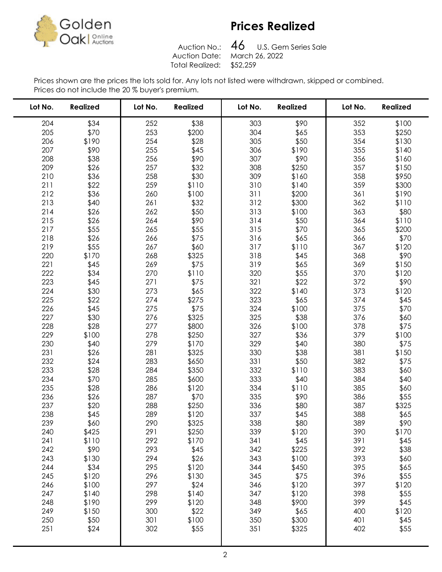

# Prices Realized

Auction No.: Total Realized: \$52,259

 U.S. Gem Series Sale Auction Date: March 26, 2022

Prices shown are the prices the lots sold for. Any lots not listed were withdrawn, skipped or combined. Prices do not include the 20 % buyer's premium.

| Lot No.    | <b>Realized</b> | Lot No.    | <b>Realized</b> | Lot No.    | <b>Realized</b> | Lot No.    | <b>Realized</b> |
|------------|-----------------|------------|-----------------|------------|-----------------|------------|-----------------|
| 204        | \$34            | 252        | \$38            | 303        | \$90            | 352        | \$100           |
| 205        | \$70            | 253        | \$200           | 304        | \$65            | 353        | \$250           |
| 206        | \$190           | 254        | \$28            | 305        | \$50            | 354        | \$130           |
| 207        | \$90            | 255        | \$45            | 306        | \$190           | 355        | \$140           |
| 208        | \$38            | 256        | \$90            | 307        | \$90            | 356        | \$160           |
| 209        | \$26            | 257        | \$32            | 308        | \$250           | 357        | \$150           |
| 210        | \$36            | 258        | \$30            | 309        | \$160           | 358        | \$950           |
| 211        | \$22            | 259        | \$110           | 310        | \$140           | 359        | \$300           |
| 212        | \$36            | 260        | \$100           | 311        | \$200           | 361        | \$190           |
| 213        | \$40            | 261        | \$32            | 312        | \$300           | 362        | \$110           |
| 214        | \$26            | 262        | \$50            | 313        | \$100           | 363        | \$80            |
| 215        | \$26            | 264        | \$90            | 314        | \$50            | 364        | \$110           |
| 217        | \$55            | 265        | \$55            | 315        | \$70            | 365        | \$200           |
| 218        | \$26            | 266        | \$75            | 316        | \$65            | 366        | \$70            |
| 219        | \$55            | 267        | \$60            | 317        | \$110           | 367        | \$120           |
| 220        | \$170           | 268        | \$325           | 318        | \$45            | 368        | \$90            |
| 221        | \$45            | 269        | \$75            | 319        | \$65            | 369        | \$150           |
| 222        | \$34            | 270        | \$110           | 320        | \$55            | 370        | \$120           |
| 223        | \$45            | 271        | \$75            | 321        | \$22            | 372        | \$90            |
| 224        | \$30            | 273        | \$65            | 322        | \$140           | 373        | \$120           |
| 225        | \$22            | 274        | \$275           | 323        | \$65            | 374        | \$45            |
| 226        | \$45            | 275        | \$75            | 324        | \$100           | 375        | \$70            |
| 227        | \$30            | 276        | \$325           | 325        | \$38            | 376        | \$60            |
| 228        | \$28            | 277        | \$800           | 326        | \$100           | 378        | \$75            |
| 229        | \$100           | 278        | \$250           | 327        | \$36            | 379        | \$100           |
| 230        | \$40            | 279        | \$170           | 329        | \$40            | 380        | \$75            |
| 231        | \$26            | 281        | \$325           | 330        | \$38            | 381        | \$150           |
| 232        | \$24            | 283        | \$650           | 331        | \$50            | 382        | \$75            |
| 233        | \$28            | 284        | \$350           | 332        | \$110           | 383        | \$60            |
| 234        | \$70            | 285        | \$600           | 333        | \$40            | 384        | \$40            |
| 235        | \$28            | 286        | \$120           | 334        | \$110           | 385        | \$60            |
| 236        | \$26            | 287        | \$70            | 335        | \$90            | 386        | \$55            |
| 237        | \$20            | 288        | \$250           | 336        | \$80            | 387        | \$325           |
| 238        | \$45            | 289        | \$120           | 337        | \$45            | 388        | \$65            |
| 239        | \$60            | 290        | \$325           | 338        | \$80            | 389        | \$90            |
| 240        | \$425           | 291        | \$250           | 339        | \$120           | 390        | \$170           |
| 241        | \$110           | 292        | \$170           | 341        | \$45            | 391        | \$45            |
| 242        | \$90            | 293        | \$45            | 342        | \$225           | 392        | \$38            |
| 243        | \$130           | 294        | \$26            | 343        | \$100           | 393        | \$60            |
| 244        | \$34            | 295        | \$120           | 344        | \$450           | 395        | \$65            |
| 245        | \$120           | 296<br>297 | \$130           | 345        | \$75            | 396<br>397 | \$55            |
| 246<br>247 | \$100           | 298        | \$24            | 346<br>347 | \$120           | 398        | \$120           |
| 248        | \$140<br>\$190  | 299        | \$140<br>\$120  | 348        | \$120<br>\$900  | 399        | \$55<br>\$45    |
| 249        | \$150           | 300        | \$22            | 349        | \$65            | 400        | \$120           |
| 250        | \$50            | 301        | \$100           | 350        | \$300           | 401        | \$45            |
| 251        | \$24            | 302        | \$55            | 351        | \$325           | 402        | \$55            |
|            |                 |            |                 |            |                 |            |                 |